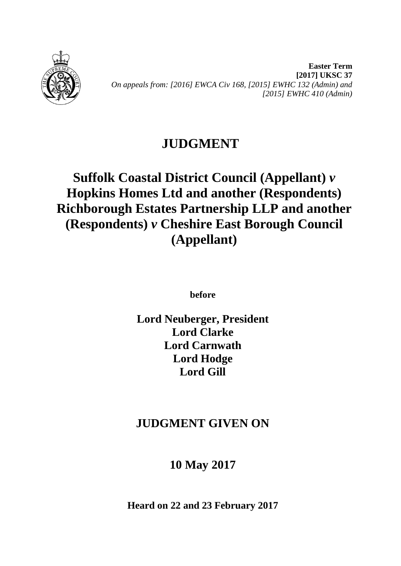

**Easter Term [2017] UKSC 37** *On appeals from: [2016] EWCA Civ 168, [2015] EWHC 132 (Admin) and [2015] EWHC 410 (Admin)*

## **JUDGMENT**

# **Suffolk Coastal District Council (Appellant)** *v* **Hopkins Homes Ltd and another (Respondents) Richborough Estates Partnership LLP and another (Respondents)** *v* **Cheshire East Borough Council (Appellant)**

**before** 

**Lord Neuberger, President Lord Clarke Lord Carnwath Lord Hodge Lord Gill**

### **JUDGMENT GIVEN ON**

**10 May 2017**

**Heard on 22 and 23 February 2017**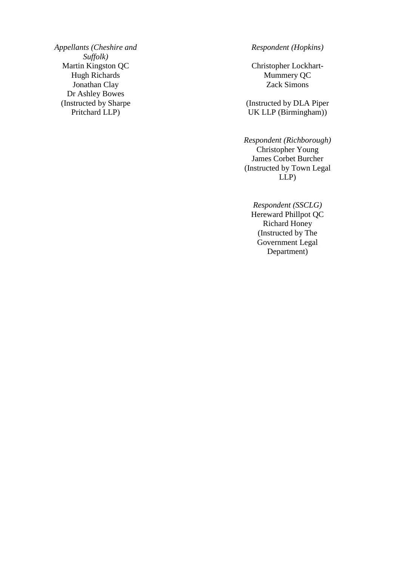*Appellants (Cheshire and Suffolk)* Martin Kingston QC Hugh Richards Jonathan Clay Dr Ashley Bowes (Instructed by Sharpe Pritchard LLP )

#### *Respondent (Hopkins)*

Christopher Lockhart - Mummery QC<br>Zack Simons

(Instructed by DLA Piper UK LLP (Birmingham) )

*Respondent (Richborough)* Christopher Young James Corbet Burcher (Instructed by Town Legal LLP )

*Respondent (SSCLG)* Hereward Phillpot QC Richard Honey (Instructed by The Government Legal Department )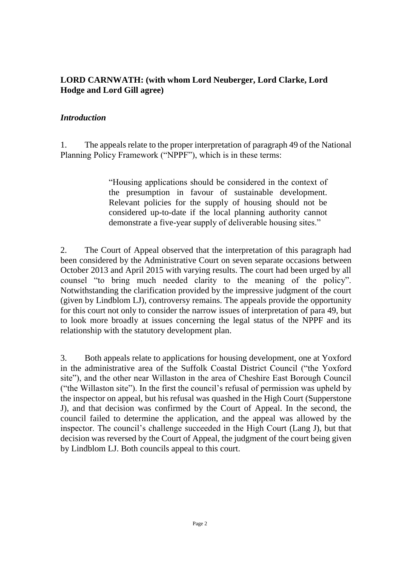#### **LORD CARNWATH: (with whom Lord Neuberger, Lord Clarke, Lord Hodge and Lord Gill agree)**

#### *Introduction*

1. The appeals relate to the proper interpretation of paragraph 49 of the National Planning Policy Framework ("NPPF"), which is in these terms:

> "Housing applications should be considered in the context of the presumption in favour of sustainable development. Relevant policies for the supply of housing should not be considered up-to-date if the local planning authority cannot demonstrate a five-year supply of deliverable housing sites."

2. The Court of Appeal observed that the interpretation of this paragraph had been considered by the Administrative Court on seven separate occasions between October 2013 and April 2015 with varying results. The court had been urged by all counsel "to bring much needed clarity to the meaning of the policy". Notwithstanding the clarification provided by the impressive judgment of the court (given by Lindblom LJ), controversy remains. The appeals provide the opportunity for this court not only to consider the narrow issues of interpretation of para 49, but to look more broadly at issues concerning the legal status of the NPPF and its relationship with the statutory development plan.

3. Both appeals relate to applications for housing development, one at Yoxford in the administrative area of the Suffolk Coastal District Council ("the Yoxford site"), and the other near Willaston in the area of Cheshire East Borough Council ("the Willaston site"). In the first the council's refusal of permission was upheld by the inspector on appeal, but his refusal was quashed in the High Court (Supperstone J), and that decision was confirmed by the Court of Appeal. In the second, the council failed to determine the application, and the appeal was allowed by the inspector. The council's challenge succeeded in the High Court (Lang J), but that decision was reversed by the Court of Appeal, the judgment of the court being given by Lindblom LJ. Both councils appeal to this court.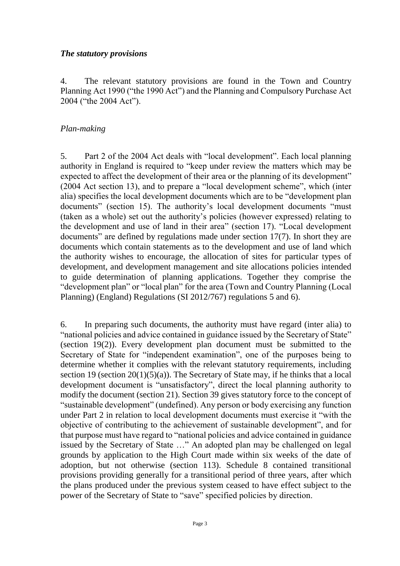#### *The statutory provisions*

4. The relevant statutory provisions are found in the Town and Country Planning Act 1990 ("the 1990 Act") and the Planning and Compulsory Purchase Act 2004 ("the 2004 Act").

#### *Plan-making*

5. Part 2 of the 2004 Act deals with "local development". Each local planning authority in England is required to "keep under review the matters which may be expected to affect the development of their area or the planning of its development" (2004 Act section 13), and to prepare a "local development scheme", which (inter alia) specifies the local development documents which are to be "development plan documents" (section 15). The authority's local development documents "must (taken as a whole) set out the authority's policies (however expressed) relating to the development and use of land in their area" (section 17). "Local development documents" are defined by regulations made under section 17(7). In short they are documents which contain statements as to the development and use of land which the authority wishes to encourage, the allocation of sites for particular types of development, and development management and site allocations policies intended to guide determination of planning applications. Together they comprise the "development plan" or "local plan" for the area (Town and Country Planning (Local Planning) (England) Regulations (SI 2012/767) regulations 5 and 6).

6. In preparing such documents, the authority must have regard (inter alia) to "national policies and advice contained in guidance issued by the Secretary of State" (section 19(2)). Every development plan document must be submitted to the Secretary of State for "independent examination", one of the purposes being to determine whether it complies with the relevant statutory requirements, including section 19 (section  $20(1)(5)(a)$ ). The Secretary of State may, if he thinks that a local development document is "unsatisfactory", direct the local planning authority to modify the document (section 21). Section 39 gives statutory force to the concept of "sustainable development" (undefined). Any person or body exercising any function under Part 2 in relation to local development documents must exercise it "with the objective of contributing to the achievement of sustainable development", and for that purpose must have regard to "national policies and advice contained in guidance issued by the Secretary of State …" An adopted plan may be challenged on legal grounds by application to the High Court made within six weeks of the date of adoption, but not otherwise (section 113). Schedule 8 contained transitional provisions providing generally for a transitional period of three years, after which the plans produced under the previous system ceased to have effect subject to the power of the Secretary of State to "save" specified policies by direction.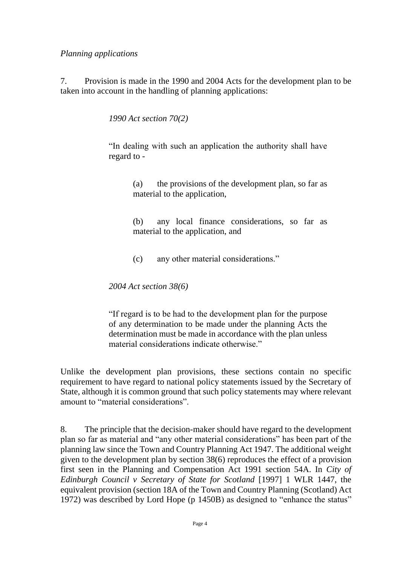#### *Planning applications*

7. Provision is made in the 1990 and 2004 Acts for the development plan to be taken into account in the handling of planning applications:

*1990 Act section 70(2)*

"In dealing with such an application the authority shall have regard to -

> (a) the provisions of the development plan, so far as material to the application,

> (b) any local finance considerations, so far as material to the application, and

(c) any other material considerations."

*2004 Act section 38(6)*

"If regard is to be had to the development plan for the purpose of any determination to be made under the planning Acts the determination must be made in accordance with the plan unless material considerations indicate otherwise."

Unlike the development plan provisions, these sections contain no specific requirement to have regard to national policy statements issued by the Secretary of State, although it is common ground that such policy statements may where relevant amount to "material considerations".

8. The principle that the decision-maker should have regard to the development plan so far as material and "any other material considerations" has been part of the planning law since the Town and Country Planning Act 1947. The additional weight given to the development plan by section 38(6) reproduces the effect of a provision first seen in the Planning and Compensation Act 1991 section 54A. In *City of Edinburgh Council v Secretary of State for Scotland* [1997] 1 WLR 1447, the equivalent provision (section 18A of the Town and Country Planning (Scotland) Act 1972) was described by Lord Hope (p 1450B) as designed to "enhance the status"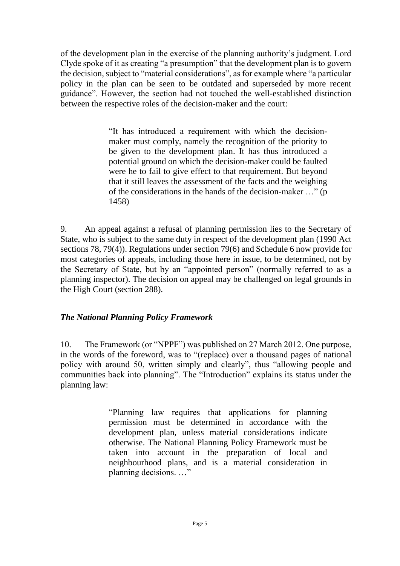of the development plan in the exercise of the planning authority's judgment. Lord Clyde spoke of it as creating "a presumption" that the development plan is to govern the decision, subject to "material considerations", as for example where "a particular policy in the plan can be seen to be outdated and superseded by more recent guidance". However, the section had not touched the well-established distinction between the respective roles of the decision-maker and the court:

> "It has introduced a requirement with which the decisionmaker must comply, namely the recognition of the priority to be given to the development plan. It has thus introduced a potential ground on which the decision-maker could be faulted were he to fail to give effect to that requirement. But beyond that it still leaves the assessment of the facts and the weighing of the considerations in the hands of the decision-maker …" (p 1458)

9. An appeal against a refusal of planning permission lies to the Secretary of State, who is subject to the same duty in respect of the development plan (1990 Act sections 78, 79(4)). Regulations under section 79(6) and Schedule 6 now provide for most categories of appeals, including those here in issue, to be determined, not by the Secretary of State, but by an "appointed person" (normally referred to as a planning inspector). The decision on appeal may be challenged on legal grounds in the High Court (section 288).

#### *The National Planning Policy Framework*

10. The Framework (or "NPPF") was published on 27 March 2012. One purpose, in the words of the foreword, was to "(replace) over a thousand pages of national policy with around 50, written simply and clearly", thus "allowing people and communities back into planning". The "Introduction" explains its status under the planning law:

> "Planning law requires that applications for planning permission must be determined in accordance with the development plan, unless material considerations indicate otherwise. The National Planning Policy Framework must be taken into account in the preparation of local and neighbourhood plans, and is a material consideration in planning decisions. …"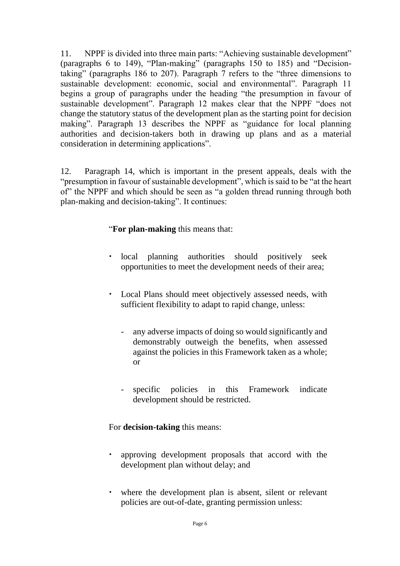11. NPPF is divided into three main parts: "Achieving sustainable development" (paragraphs 6 to 149), "Plan-making" (paragraphs 150 to 185) and "Decisiontaking" (paragraphs 186 to 207). Paragraph 7 refers to the "three dimensions to sustainable development: economic, social and environmental". Paragraph 11 begins a group of paragraphs under the heading "the presumption in favour of sustainable development". Paragraph 12 makes clear that the NPPF "does not change the statutory status of the development plan as the starting point for decision making". Paragraph 13 describes the NPPF as "guidance for local planning authorities and decision-takers both in drawing up plans and as a material consideration in determining applications".

12. Paragraph 14, which is important in the present appeals, deals with the "presumption in favour of sustainable development", which is said to be "at the heart of" the NPPF and which should be seen as "a golden thread running through both plan-making and decision-taking". It continues:

#### "**For plan-making** this means that:

- local planning authorities should positively seek opportunities to meet the development needs of their area;
- Local Plans should meet objectively assessed needs, with sufficient flexibility to adapt to rapid change, unless:
	- any adverse impacts of doing so would significantly and demonstrably outweigh the benefits, when assessed against the policies in this Framework taken as a whole; or
	- specific policies in this Framework indicate development should be restricted.

#### For **decision-taking** this means:

- approving development proposals that accord with the development plan without delay; and
- where the development plan is absent, silent or relevant policies are out-of-date, granting permission unless: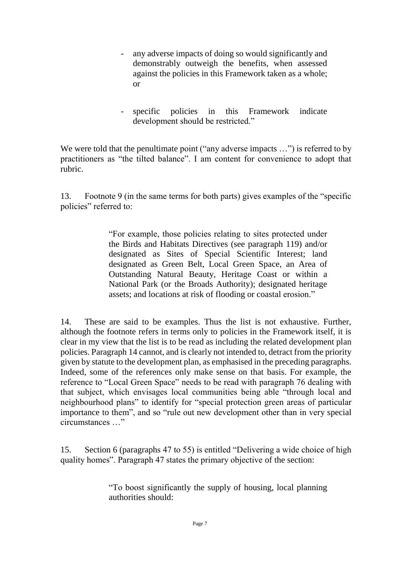- any adverse impacts of doing so would significantly and demonstrably outweigh the benefits, when assessed against the policies in this Framework taken as a whole; or
- specific policies in this Framework indicate development should be restricted."

We were told that the penultimate point ("any adverse impacts ...") is referred to by practitioners as "the tilted balance". I am content for convenience to adopt that rubric.

13. Footnote 9 (in the same terms for both parts) gives examples of the "specific policies" referred to:

> "For example, those policies relating to sites protected under the Birds and Habitats Directives (see paragraph 119) and/or designated as Sites of Special Scientific Interest; land designated as Green Belt, Local Green Space, an Area of Outstanding Natural Beauty, Heritage Coast or within a National Park (or the Broads Authority); designated heritage assets; and locations at risk of flooding or coastal erosion."

14. These are said to be examples. Thus the list is not exhaustive. Further, although the footnote refers in terms only to policies in the Framework itself, it is clear in my view that the list is to be read as including the related development plan policies. Paragraph 14 cannot, and is clearly not intended to, detract from the priority given by statute to the development plan, as emphasised in the preceding paragraphs. Indeed, some of the references only make sense on that basis. For example, the reference to "Local Green Space" needs to be read with paragraph 76 dealing with that subject, which envisages local communities being able "through local and neighbourhood plans" to identify for "special protection green areas of particular importance to them", and so "rule out new development other than in very special circumstances …"

15. Section 6 (paragraphs 47 to 55) is entitled "Delivering a wide choice of high quality homes". Paragraph 47 states the primary objective of the section:

> "To boost significantly the supply of housing, local planning authorities should: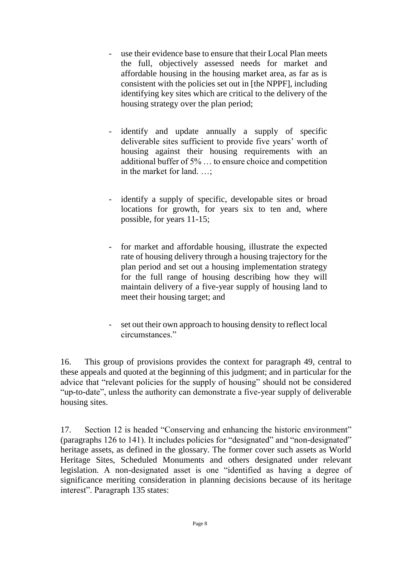- use their evidence base to ensure that their Local Plan meets the full, objectively assessed needs for market and affordable housing in the housing market area, as far as is consistent with the policies set out in [the NPPF], including identifying key sites which are critical to the delivery of the housing strategy over the plan period;
- identify and update annually a supply of specific deliverable sites sufficient to provide five years' worth of housing against their housing requirements with an additional buffer of 5% … to ensure choice and competition in the market for land. …;
- identify a supply of specific, developable sites or broad locations for growth, for years six to ten and, where possible, for years 11-15;
- for market and affordable housing, illustrate the expected rate of housing delivery through a housing trajectory for the plan period and set out a housing implementation strategy for the full range of housing describing how they will maintain delivery of a five-year supply of housing land to meet their housing target; and
- set out their own approach to housing density to reflect local circumstances."

16. This group of provisions provides the context for paragraph 49, central to these appeals and quoted at the beginning of this judgment; and in particular for the advice that "relevant policies for the supply of housing" should not be considered "up-to-date", unless the authority can demonstrate a five-year supply of deliverable housing sites.

17. Section 12 is headed "Conserving and enhancing the historic environment" (paragraphs 126 to 141). It includes policies for "designated" and "non-designated" heritage assets, as defined in the glossary. The former cover such assets as World Heritage Sites, Scheduled Monuments and others designated under relevant legislation. A non-designated asset is one "identified as having a degree of significance meriting consideration in planning decisions because of its heritage interest". Paragraph 135 states: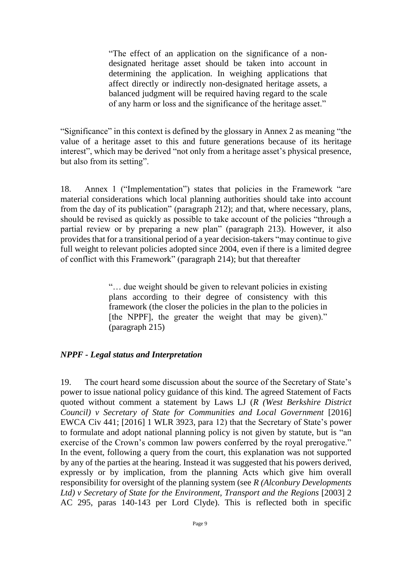"The effect of an application on the significance of a nondesignated heritage asset should be taken into account in determining the application. In weighing applications that affect directly or indirectly non-designated heritage assets, a balanced judgment will be required having regard to the scale of any harm or loss and the significance of the heritage asset."

"Significance" in this context is defined by the glossary in Annex 2 as meaning "the value of a heritage asset to this and future generations because of its heritage interest", which may be derived "not only from a heritage asset's physical presence, but also from its setting".

18. Annex 1 ("Implementation") states that policies in the Framework "are material considerations which local planning authorities should take into account from the day of its publication" (paragraph 212); and that, where necessary, plans, should be revised as quickly as possible to take account of the policies "through a partial review or by preparing a new plan" (paragraph 213). However, it also provides that for a transitional period of a year decision-takers "may continue to give full weight to relevant policies adopted since 2004, even if there is a limited degree of conflict with this Framework" (paragraph 214); but that thereafter

> "… due weight should be given to relevant policies in existing plans according to their degree of consistency with this framework (the closer the policies in the plan to the policies in [the NPPF], the greater the weight that may be given)." (paragraph 215)

#### *NPPF - Legal status and Interpretation*

19. The court heard some discussion about the source of the Secretary of State's power to issue national policy guidance of this kind. The agreed Statement of Facts quoted without comment a statement by Laws LJ (*R (West Berkshire District Council) v Secretary of State for Communities and Local Government* [2016] EWCA Civ 441; [2016] 1 WLR 3923, para 12) that the Secretary of State's power to formulate and adopt national planning policy is not given by statute, but is "an exercise of the Crown's common law powers conferred by the royal prerogative." In the event, following a query from the court, this explanation was not supported by any of the parties at the hearing. Instead it was suggested that his powers derived, expressly or by implication, from the planning Acts which give him overall responsibility for oversight of the planning system (see *R (Alconbury Developments Ltd) v Secretary of State for the Environment, Transport and the Regions* [2003] 2 AC 295, paras 140-143 per Lord Clyde). This is reflected both in specific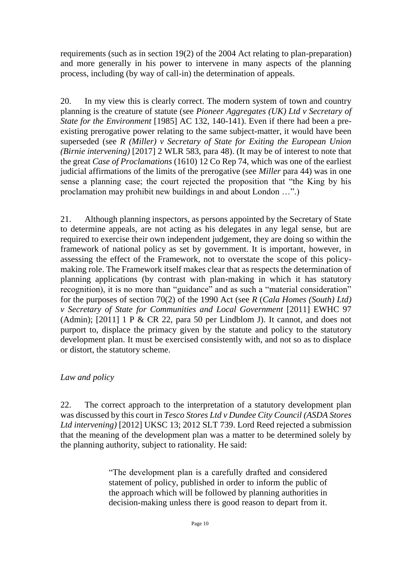requirements (such as in section 19(2) of the 2004 Act relating to plan-preparation) and more generally in his power to intervene in many aspects of the planning process, including (by way of call-in) the determination of appeals.

20. In my view this is clearly correct. The modern system of town and country planning is the creature of statute (see *Pioneer Aggregates (UK) Ltd v Secretary of State for the Environment* [1985] AC 132, 140-141). Even if there had been a preexisting prerogative power relating to the same subject-matter, it would have been superseded (see *R (Miller) v Secretary of State for Exiting the European Union (Birnie intervening)* [2017] 2 WLR 583, para 48). (It may be of interest to note that the great *Case of Proclamations* (1610) 12 Co Rep 74, which was one of the earliest judicial affirmations of the limits of the prerogative (see *Miller* para 44) was in one sense a planning case; the court rejected the proposition that "the King by his proclamation may prohibit new buildings in and about London …".)

21. Although planning inspectors, as persons appointed by the Secretary of State to determine appeals, are not acting as his delegates in any legal sense, but are required to exercise their own independent judgement, they are doing so within the framework of national policy as set by government. It is important, however, in assessing the effect of the Framework, not to overstate the scope of this policymaking role. The Framework itself makes clear that as respects the determination of planning applications (by contrast with plan-making in which it has statutory recognition), it is no more than "guidance" and as such a "material consideration" for the purposes of section 70(2) of the 1990 Act (see *R* (*Cala Homes (South) Ltd) v Secretary of State for Communities and Local Government* [2011] EWHC 97 (Admin); [2011] 1 P & CR 22, para 50 per Lindblom J). It cannot, and does not purport to, displace the primacy given by the statute and policy to the statutory development plan. It must be exercised consistently with, and not so as to displace or distort, the statutory scheme.

#### *Law and policy*

22. The correct approach to the interpretation of a statutory development plan was discussed by this court in *Tesco Stores Ltd v Dundee City Council (ASDA Stores Ltd intervening)* [2012] UKSC 13; 2012 SLT 739. Lord Reed rejected a submission that the meaning of the development plan was a matter to be determined solely by the planning authority, subject to rationality. He said:

> "The development plan is a carefully drafted and considered statement of policy, published in order to inform the public of the approach which will be followed by planning authorities in decision-making unless there is good reason to depart from it.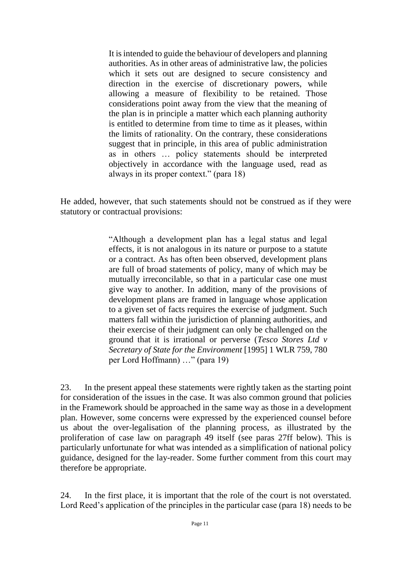It is intended to guide the behaviour of developers and planning authorities. As in other areas of administrative law, the policies which it sets out are designed to secure consistency and direction in the exercise of discretionary powers, while allowing a measure of flexibility to be retained. Those considerations point away from the view that the meaning of the plan is in principle a matter which each planning authority is entitled to determine from time to time as it pleases, within the limits of rationality. On the contrary, these considerations suggest that in principle, in this area of public administration as in others … policy statements should be interpreted objectively in accordance with the language used, read as always in its proper context." (para 18)

He added, however, that such statements should not be construed as if they were statutory or contractual provisions:

> "Although a development plan has a legal status and legal effects, it is not analogous in its nature or purpose to a statute or a contract. As has often been observed, development plans are full of broad statements of policy, many of which may be mutually irreconcilable, so that in a particular case one must give way to another. In addition, many of the provisions of development plans are framed in language whose application to a given set of facts requires the exercise of judgment. Such matters fall within the jurisdiction of planning authorities, and their exercise of their judgment can only be challenged on the ground that it is irrational or perverse (*Tesco Stores Ltd v Secretary of State for the Environment* [1995] 1 WLR 759, 780 per Lord Hoffmann) …" (para 19)

23. In the present appeal these statements were rightly taken as the starting point for consideration of the issues in the case. It was also common ground that policies in the Framework should be approached in the same way as those in a development plan. However, some concerns were expressed by the experienced counsel before us about the over-legalisation of the planning process, as illustrated by the proliferation of case law on paragraph 49 itself (see paras 27ff below). This is particularly unfortunate for what was intended as a simplification of national policy guidance, designed for the lay-reader. Some further comment from this court may therefore be appropriate.

24. In the first place, it is important that the role of the court is not overstated. Lord Reed's application of the principles in the particular case (para 18) needs to be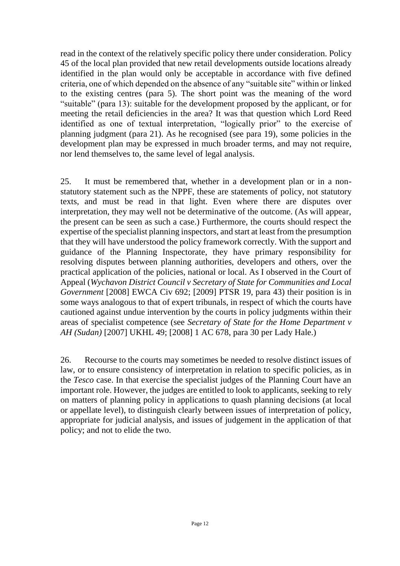read in the context of the relatively specific policy there under consideration. Policy 45 of the local plan provided that new retail developments outside locations already identified in the plan would only be acceptable in accordance with five defined criteria, one of which depended on the absence of any "suitable site" within or linked to the existing centres (para 5). The short point was the meaning of the word "suitable" (para 13): suitable for the development proposed by the applicant, or for meeting the retail deficiencies in the area? It was that question which Lord Reed identified as one of textual interpretation, "logically prior" to the exercise of planning judgment (para 21). As he recognised (see para 19), some policies in the development plan may be expressed in much broader terms, and may not require, nor lend themselves to, the same level of legal analysis.

25. It must be remembered that, whether in a development plan or in a nonstatutory statement such as the NPPF, these are statements of policy, not statutory texts, and must be read in that light. Even where there are disputes over interpretation, they may well not be determinative of the outcome. (As will appear, the present can be seen as such a case.) Furthermore, the courts should respect the expertise of the specialist planning inspectors, and start at least from the presumption that they will have understood the policy framework correctly. With the support and guidance of the Planning Inspectorate, they have primary responsibility for resolving disputes between planning authorities, developers and others, over the practical application of the policies, national or local. As I observed in the Court of Appeal (*Wychavon District Council v Secretary of State for Communities and Local Government* [2008] EWCA Civ 692; [2009] PTSR 19, para 43) their position is in some ways analogous to that of expert tribunals, in respect of which the courts have cautioned against undue intervention by the courts in policy judgments within their areas of specialist competence (see *Secretary of State for the Home Department v AH (Sudan)* [2007] UKHL 49; [2008] 1 AC 678, para 30 per Lady Hale.)

26. Recourse to the courts may sometimes be needed to resolve distinct issues of law, or to ensure consistency of interpretation in relation to specific policies, as in the *Tesco* case. In that exercise the specialist judges of the Planning Court have an important role. However, the judges are entitled to look to applicants, seeking to rely on matters of planning policy in applications to quash planning decisions (at local or appellate level), to distinguish clearly between issues of interpretation of policy, appropriate for judicial analysis, and issues of judgement in the application of that policy; and not to elide the two.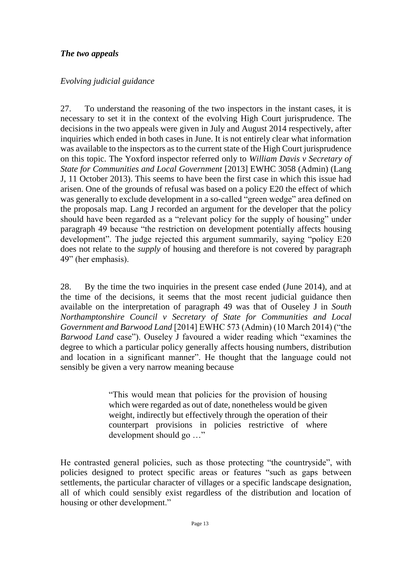#### *The two appeals*

#### *Evolving judicial guidance*

27. To understand the reasoning of the two inspectors in the instant cases, it is necessary to set it in the context of the evolving High Court jurisprudence. The decisions in the two appeals were given in July and August 2014 respectively, after inquiries which ended in both cases in June. It is not entirely clear what information was available to the inspectors as to the current state of the High Court jurisprudence on this topic. The Yoxford inspector referred only to *William Davis v Secretary of State for Communities and Local Government* [2013] EWHC 3058 (Admin) (Lang J, 11 October 2013). This seems to have been the first case in which this issue had arisen. One of the grounds of refusal was based on a policy E20 the effect of which was generally to exclude development in a so-called "green wedge" area defined on the proposals map. Lang J recorded an argument for the developer that the policy should have been regarded as a "relevant policy for the supply of housing" under paragraph 49 because "the restriction on development potentially affects housing development". The judge rejected this argument summarily, saying "policy E20" does not relate to the *supply* of housing and therefore is not covered by paragraph 49" (her emphasis).

28. By the time the two inquiries in the present case ended (June 2014), and at the time of the decisions, it seems that the most recent judicial guidance then available on the interpretation of paragraph 49 was that of Ouseley J in *South Northamptonshire Council v Secretary of State for Communities and Local Government and Barwood Land* [2014] EWHC 573 (Admin) (10 March 2014) ("the *Barwood Land* case"). Ouseley J favoured a wider reading which "examines the degree to which a particular policy generally affects housing numbers, distribution and location in a significant manner". He thought that the language could not sensibly be given a very narrow meaning because

> "This would mean that policies for the provision of housing which were regarded as out of date, nonetheless would be given weight, indirectly but effectively through the operation of their counterpart provisions in policies restrictive of where development should go …"

He contrasted general policies, such as those protecting "the countryside", with policies designed to protect specific areas or features "such as gaps between settlements, the particular character of villages or a specific landscape designation, all of which could sensibly exist regardless of the distribution and location of housing or other development."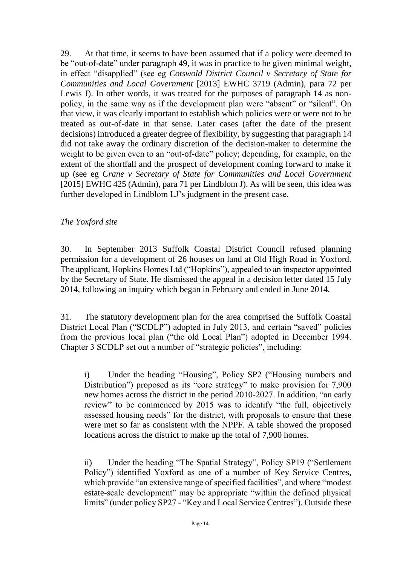29. At that time, it seems to have been assumed that if a policy were deemed to be "out-of-date" under paragraph 49, it was in practice to be given minimal weight, in effect "disapplied" (see eg *Cotswold District Council v Secretary of State for Communities and Local Government* [2013] EWHC 3719 (Admin), para 72 per Lewis J). In other words, it was treated for the purposes of paragraph 14 as nonpolicy, in the same way as if the development plan were "absent" or "silent". On that view, it was clearly important to establish which policies were or were not to be treated as out-of-date in that sense. Later cases (after the date of the present decisions) introduced a greater degree of flexibility, by suggesting that paragraph 14 did not take away the ordinary discretion of the decision-maker to determine the weight to be given even to an "out-of-date" policy; depending, for example, on the extent of the shortfall and the prospect of development coming forward to make it up (see eg *Crane v Secretary of State for Communities and Local Government* [2015] EWHC 425 (Admin), para 71 per Lindblom J). As will be seen, this idea was further developed in Lindblom LJ's judgment in the present case.

#### *The Yoxford site*

30. In September 2013 Suffolk Coastal District Council refused planning permission for a development of 26 houses on land at Old High Road in Yoxford. The applicant, Hopkins Homes Ltd ("Hopkins"), appealed to an inspector appointed by the Secretary of State. He dismissed the appeal in a decision letter dated 15 July 2014, following an inquiry which began in February and ended in June 2014.

31. The statutory development plan for the area comprised the Suffolk Coastal District Local Plan ("SCDLP") adopted in July 2013, and certain "saved" policies from the previous local plan ("the old Local Plan") adopted in December 1994. Chapter 3 SCDLP set out a number of "strategic policies", including:

i) Under the heading "Housing", Policy SP2 ("Housing numbers and Distribution") proposed as its "core strategy" to make provision for 7,900 new homes across the district in the period 2010-2027. In addition, "an early review" to be commenced by 2015 was to identify "the full, objectively assessed housing needs" for the district, with proposals to ensure that these were met so far as consistent with the NPPF. A table showed the proposed locations across the district to make up the total of 7,900 homes.

ii) Under the heading "The Spatial Strategy", Policy SP19 ("Settlement Policy") identified Yoxford as one of a number of Key Service Centres, which provide "an extensive range of specified facilities", and where "modest" estate-scale development" may be appropriate "within the defined physical limits" (under policy SP27 - "Key and Local Service Centres"). Outside these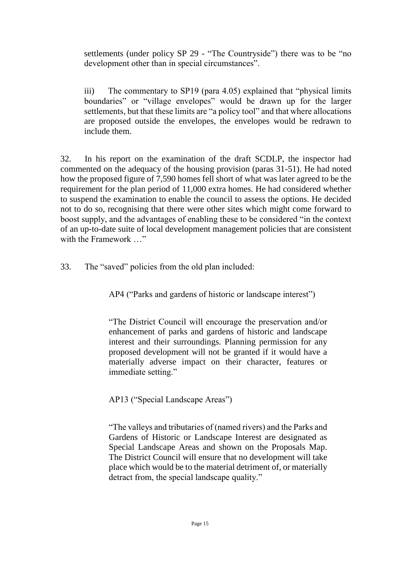settlements (under policy SP 29 - "The Countryside") there was to be "no development other than in special circumstances".

iii) The commentary to SP19 (para 4.05) explained that "physical limits boundaries" or "village envelopes" would be drawn up for the larger settlements, but that these limits are "a policy tool" and that where allocations are proposed outside the envelopes, the envelopes would be redrawn to include them.

32. In his report on the examination of the draft SCDLP, the inspector had commented on the adequacy of the housing provision (paras 31-51). He had noted how the proposed figure of 7,590 homes fell short of what was later agreed to be the requirement for the plan period of 11,000 extra homes. He had considered whether to suspend the examination to enable the council to assess the options. He decided not to do so, recognising that there were other sites which might come forward to boost supply, and the advantages of enabling these to be considered "in the context of an up-to-date suite of local development management policies that are consistent with the Framework ..."

33. The "saved" policies from the old plan included:

AP4 ("Parks and gardens of historic or landscape interest")

"The District Council will encourage the preservation and/or enhancement of parks and gardens of historic and landscape interest and their surroundings. Planning permission for any proposed development will not be granted if it would have a materially adverse impact on their character, features or immediate setting."

AP13 ("Special Landscape Areas")

"The valleys and tributaries of (named rivers) and the Parks and Gardens of Historic or Landscape Interest are designated as Special Landscape Areas and shown on the Proposals Map. The District Council will ensure that no development will take place which would be to the material detriment of, or materially detract from, the special landscape quality."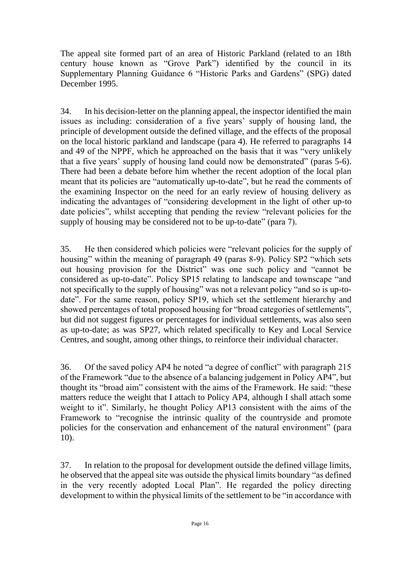The appeal site formed part of an area of Historic Parkland (related to an 18th century house known as "Grove Park") identified by the council in its Supplementary Planning Guidance 6 "Historic Parks and Gardens" (SPG) dated December 1995.

34. In his decision-letter on the planning appeal, the inspector identified the main issues as including: consideration of a five years' supply of housing land, the principle of development outside the defined village, and the effects of the proposal on the local historic parkland and landscape (para 4). He referred to paragraphs 14 and 49 of the NPPF, which he approached on the basis that it was "very unlikely that a five years' supply of housing land could now be demonstrated" (paras 5-6). There had been a debate before him whether the recent adoption of the local plan meant that its policies are "automatically up-to-date", but he read the comments of the examining Inspector on the need for an early review of housing delivery as indicating the advantages of "considering development in the light of other up-to date policies", whilst accepting that pending the review "relevant policies for the supply of housing may be considered not to be up-to-date" (para 7).

35. He then considered which policies were "relevant policies for the supply of housing" within the meaning of paragraph 49 (paras 8-9). Policy SP2 "which sets out housing provision for the District" was one such policy and "cannot be considered as up-to-date". Policy SP15 relating to landscape and townscape "and not specifically to the supply of housing" was not a relevant policy "and so is up-todate". For the same reason, policy SP19, which set the settlement hierarchy and showed percentages of total proposed housing for "broad categories of settlements", but did not suggest figures or percentages for individual settlements, was also seen as up-to-date; as was SP27, which related specifically to Key and Local Service Centres, and sought, among other things, to reinforce their individual character.

36. Of the saved policy AP4 he noted "a degree of conflict" with paragraph 215 of the Framework "due to the absence of a balancing judgement in Policy AP4", but thought its "broad aim" consistent with the aims of the Framework. He said: "these matters reduce the weight that I attach to Policy AP4, although I shall attach some weight to it". Similarly, he thought Policy AP13 consistent with the aims of the Framework to "recognise the intrinsic quality of the countryside and promote policies for the conservation and enhancement of the natural environment" (para 10).

37. In relation to the proposal for development outside the defined village limits, he observed that the appeal site was outside the physical limits boundary "as defined in the very recently adopted Local Plan". He regarded the policy directing development to within the physical limits of the settlement to be "in accordance with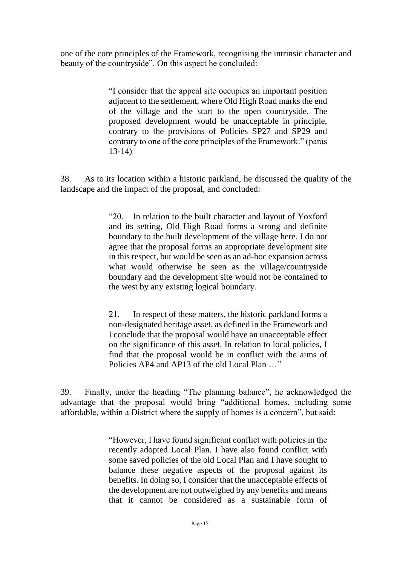one of the core principles of the Framework, recognising the intrinsic character and beauty of the countryside". On this aspect he concluded:

> "I consider that the appeal site occupies an important position adjacent to the settlement, where Old High Road marks the end of the village and the start to the open countryside. The proposed development would be unacceptable in principle, contrary to the provisions of Policies SP27 and SP29 and contrary to one of the core principles of the Framework." (paras 13-14)

38. As to its location within a historic parkland, he discussed the quality of the landscape and the impact of the proposal, and concluded:

> "20. In relation to the built character and layout of Yoxford and its setting, Old High Road forms a strong and definite boundary to the built development of the village here. I do not agree that the proposal forms an appropriate development site in this respect, but would be seen as an ad-hoc expansion across what would otherwise be seen as the village/countryside boundary and the development site would not be contained to the west by any existing logical boundary.

> 21. In respect of these matters, the historic parkland forms a non-designated heritage asset, as defined in the Framework and I conclude that the proposal would have an unacceptable effect on the significance of this asset. In relation to local policies, I find that the proposal would be in conflict with the aims of Policies AP4 and AP13 of the old Local Plan …"

39. Finally, under the heading "The planning balance", he acknowledged the advantage that the proposal would bring "additional homes, including some affordable, within a District where the supply of homes is a concern", but said:

> "However, I have found significant conflict with policies in the recently adopted Local Plan. I have also found conflict with some saved policies of the old Local Plan and I have sought to balance these negative aspects of the proposal against its benefits. In doing so, I consider that the unacceptable effects of the development are not outweighed by any benefits and means that it cannot be considered as a sustainable form of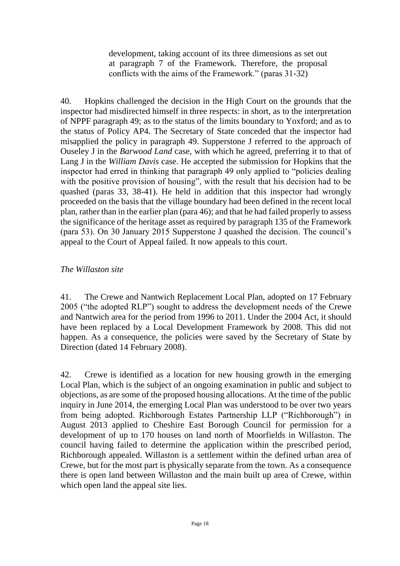development, taking account of its three dimensions as set out at paragraph 7 of the Framework. Therefore, the proposal conflicts with the aims of the Framework." (paras 31-32)

40. Hopkins challenged the decision in the High Court on the grounds that the inspector had misdirected himself in three respects: in short, as to the interpretation of NPPF paragraph 49; as to the status of the limits boundary to Yoxford; and as to the status of Policy AP4. The Secretary of State conceded that the inspector had misapplied the policy in paragraph 49. Supperstone J referred to the approach of Ouseley J in the *Barwood Land* case, with which he agreed, preferring it to that of Lang J in the *William Davis* case. He accepted the submission for Hopkins that the inspector had erred in thinking that paragraph 49 only applied to "policies dealing with the positive provision of housing", with the result that his decision had to be quashed (paras 33, 38-41). He held in addition that this inspector had wrongly proceeded on the basis that the village boundary had been defined in the recent local plan, rather than in the earlier plan (para 46); and that he had failed properly to assess the significance of the heritage asset as required by paragraph 135 of the Framework (para 53). On 30 January 2015 Supperstone J quashed the decision. The council's appeal to the Court of Appeal failed. It now appeals to this court.

#### *The Willaston site*

41. The Crewe and Nantwich Replacement Local Plan, adopted on 17 February 2005 ("the adopted RLP") sought to address the development needs of the Crewe and Nantwich area for the period from 1996 to 2011. Under the 2004 Act, it should have been replaced by a Local Development Framework by 2008. This did not happen. As a consequence, the policies were saved by the Secretary of State by Direction (dated 14 February 2008).

42. Crewe is identified as a location for new housing growth in the emerging Local Plan, which is the subject of an ongoing examination in public and subject to objections, as are some of the proposed housing allocations. At the time of the public inquiry in June 2014, the emerging Local Plan was understood to be over two years from being adopted. Richborough Estates Partnership LLP ("Richborough") in August 2013 applied to Cheshire East Borough Council for permission for a development of up to 170 houses on land north of Moorfields in Willaston. The council having failed to determine the application within the prescribed period, Richborough appealed. Willaston is a settlement within the defined urban area of Crewe, but for the most part is physically separate from the town. As a consequence there is open land between Willaston and the main built up area of Crewe, within which open land the appeal site lies.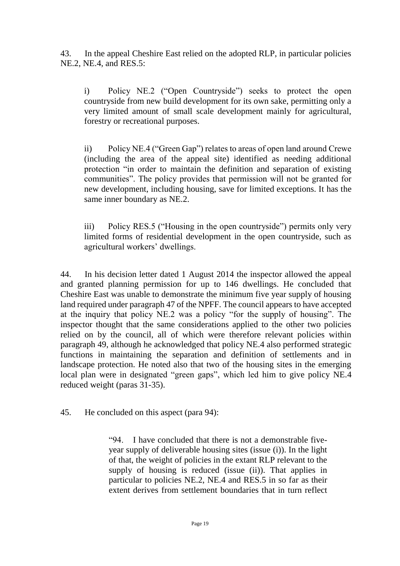43. In the appeal Cheshire East relied on the adopted RLP, in particular policies NE.2, NE.4, and RES.5:

i) Policy NE.2 ("Open Countryside") seeks to protect the open countryside from new build development for its own sake, permitting only a very limited amount of small scale development mainly for agricultural, forestry or recreational purposes.

ii) Policy NE.4 ("Green Gap") relates to areas of open land around Crewe (including the area of the appeal site) identified as needing additional protection "in order to maintain the definition and separation of existing communities". The policy provides that permission will not be granted for new development, including housing, save for limited exceptions. It has the same inner boundary as NE.2.

iii) Policy RES.5 ("Housing in the open countryside") permits only very limited forms of residential development in the open countryside, such as agricultural workers' dwellings.

44. In his decision letter dated 1 August 2014 the inspector allowed the appeal and granted planning permission for up to 146 dwellings. He concluded that Cheshire East was unable to demonstrate the minimum five year supply of housing land required under paragraph 47 of the NPFF. The council appears to have accepted at the inquiry that policy NE.2 was a policy "for the supply of housing". The inspector thought that the same considerations applied to the other two policies relied on by the council, all of which were therefore relevant policies within paragraph 49, although he acknowledged that policy NE.4 also performed strategic functions in maintaining the separation and definition of settlements and in landscape protection. He noted also that two of the housing sites in the emerging local plan were in designated "green gaps", which led him to give policy NE.4 reduced weight (paras 31-35).

45. He concluded on this aspect (para 94):

"94. I have concluded that there is not a demonstrable fiveyear supply of deliverable housing sites (issue (i)). In the light of that, the weight of policies in the extant RLP relevant to the supply of housing is reduced (issue (ii)). That applies in particular to policies NE.2, NE.4 and RES.5 in so far as their extent derives from settlement boundaries that in turn reflect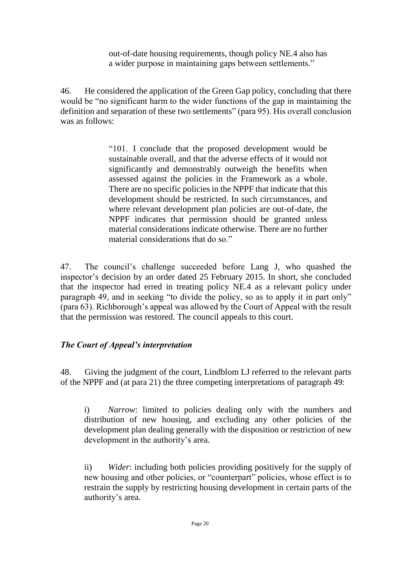out-of-date housing requirements, though policy NE.4 also has a wider purpose in maintaining gaps between settlements."

46. He considered the application of the Green Gap policy, concluding that there would be "no significant harm to the wider functions of the gap in maintaining the definition and separation of these two settlements" (para 95). His overall conclusion was as follows:

> "101. I conclude that the proposed development would be sustainable overall, and that the adverse effects of it would not significantly and demonstrably outweigh the benefits when assessed against the policies in the Framework as a whole. There are no specific policies in the NPPF that indicate that this development should be restricted. In such circumstances, and where relevant development plan policies are out-of-date, the NPPF indicates that permission should be granted unless material considerations indicate otherwise. There are no further material considerations that do so."

47. The council's challenge succeeded before Lang J, who quashed the inspector's decision by an order dated 25 February 2015. In short, she concluded that the inspector had erred in treating policy NE.4 as a relevant policy under paragraph 49, and in seeking "to divide the policy, so as to apply it in part only" (para 63). Richborough's appeal was allowed by the Court of Appeal with the result that the permission was restored. The council appeals to this court.

#### *The Court of Appeal's interpretation*

48. Giving the judgment of the court, Lindblom LJ referred to the relevant parts of the NPPF and (at para 21) the three competing interpretations of paragraph 49:

i) *Narrow*: limited to policies dealing only with the numbers and distribution of new housing, and excluding any other policies of the development plan dealing generally with the disposition or restriction of new development in the authority's area.

ii) *Wider*: including both policies providing positively for the supply of new housing and other policies, or "counterpart" policies, whose effect is to restrain the supply by restricting housing development in certain parts of the authority's area.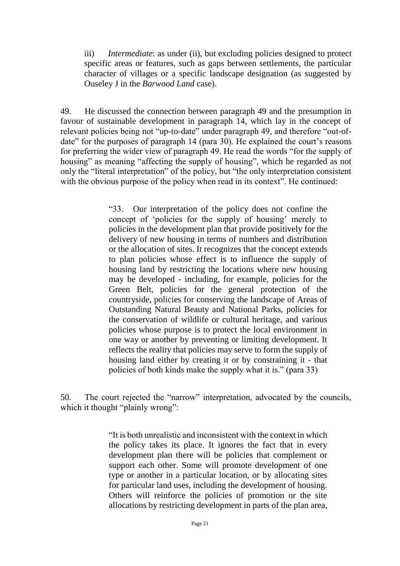iii) *Intermediate*: as under (ii), but excluding policies designed to protect specific areas or features, such as gaps between settlements, the particular character of villages or a specific landscape designation (as suggested by Ouseley J in the *Barwood Land* case).

49. He discussed the connection between paragraph 49 and the presumption in favour of sustainable development in paragraph 14, which lay in the concept of relevant policies being not "up-to-date" under paragraph 49, and therefore "out-ofdate" for the purposes of paragraph 14 (para 30). He explained the court's reasons for preferring the wider view of paragraph 49. He read the words "for the supply of housing" as meaning "affecting the supply of housing", which he regarded as not only the "literal interpretation" of the policy, but "the only interpretation consistent with the obvious purpose of the policy when read in its context". He continued:

> "33. Our interpretation of the policy does not confine the concept of 'policies for the supply of housing' merely to policies in the development plan that provide positively for the delivery of new housing in terms of numbers and distribution or the allocation of sites. It recognizes that the concept extends to plan policies whose effect is to influence the supply of housing land by restricting the locations where new housing may be developed - including, for example, policies for the Green Belt, policies for the general protection of the countryside, policies for conserving the landscape of Areas of Outstanding Natural Beauty and National Parks, policies for the conservation of wildlife or cultural heritage, and various policies whose purpose is to protect the local environment in one way or another by preventing or limiting development. It reflects the reality that policies may serve to form the supply of housing land either by creating it or by constraining it - that policies of both kinds make the supply what it is." (para 33)

50. The court rejected the "narrow" interpretation, advocated by the councils, which it thought "plainly wrong":

> "It is both unrealistic and inconsistent with the context in which the policy takes its place. It ignores the fact that in every development plan there will be policies that complement or support each other. Some will promote development of one type or another in a particular location, or by allocating sites for particular land uses, including the development of housing. Others will reinforce the policies of promotion or the site allocations by restricting development in parts of the plan area,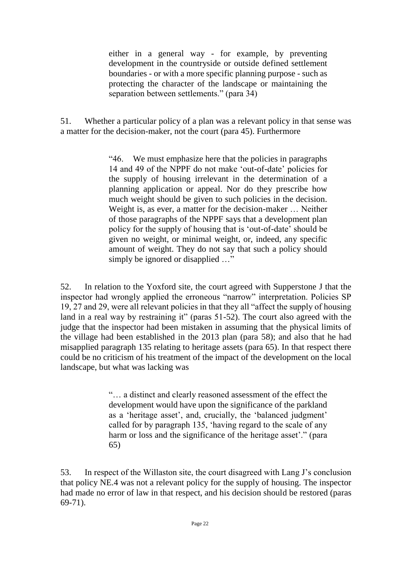either in a general way - for example, by preventing development in the countryside or outside defined settlement boundaries - or with a more specific planning purpose - such as protecting the character of the landscape or maintaining the separation between settlements." (para 34)

51. Whether a particular policy of a plan was a relevant policy in that sense was a matter for the decision-maker, not the court (para 45). Furthermore

> "46. We must emphasize here that the policies in paragraphs 14 and 49 of the NPPF do not make 'out-of-date' policies for the supply of housing irrelevant in the determination of a planning application or appeal. Nor do they prescribe how much weight should be given to such policies in the decision. Weight is, as ever, a matter for the decision-maker … Neither of those paragraphs of the NPPF says that a development plan policy for the supply of housing that is 'out-of-date' should be given no weight, or minimal weight, or, indeed, any specific amount of weight. They do not say that such a policy should simply be ignored or disapplied …"

52. In relation to the Yoxford site, the court agreed with Supperstone J that the inspector had wrongly applied the erroneous "narrow" interpretation. Policies SP 19, 27 and 29, were all relevant policies in that they all "affect the supply of housing land in a real way by restraining it" (paras 51-52). The court also agreed with the judge that the inspector had been mistaken in assuming that the physical limits of the village had been established in the 2013 plan (para 58); and also that he had misapplied paragraph 135 relating to heritage assets (para 65). In that respect there could be no criticism of his treatment of the impact of the development on the local landscape, but what was lacking was

> "… a distinct and clearly reasoned assessment of the effect the development would have upon the significance of the parkland as a 'heritage asset', and, crucially, the 'balanced judgment' called for by paragraph 135, 'having regard to the scale of any harm or loss and the significance of the heritage asset'." (para 65)

53. In respect of the Willaston site, the court disagreed with Lang J's conclusion that policy NE.4 was not a relevant policy for the supply of housing. The inspector had made no error of law in that respect, and his decision should be restored (paras 69-71).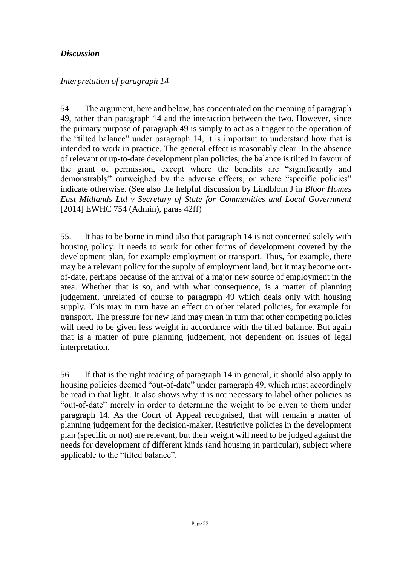### *Discussion*

#### *Interpretation of paragraph 14*

54. The argument, here and below, has concentrated on the meaning of paragraph 49, rather than paragraph 14 and the interaction between the two. However, since the primary purpose of paragraph 49 is simply to act as a trigger to the operation of the "tilted balance" under paragraph 14, it is important to understand how that is intended to work in practice. The general effect is reasonably clear. In the absence of relevant or up-to-date development plan policies, the balance is tilted in favour of the grant of permission, except where the benefits are "significantly and demonstrably" outweighed by the adverse effects, or where "specific policies" indicate otherwise. (See also the helpful discussion by Lindblom J in *Bloor Homes East Midlands Ltd v Secretary of State for Communities and Local Government* [2014] EWHC 754 (Admin), paras 42ff)

55. It has to be borne in mind also that paragraph 14 is not concerned solely with housing policy. It needs to work for other forms of development covered by the development plan, for example employment or transport. Thus, for example, there may be a relevant policy for the supply of employment land, but it may become outof-date, perhaps because of the arrival of a major new source of employment in the area. Whether that is so, and with what consequence, is a matter of planning judgement, unrelated of course to paragraph 49 which deals only with housing supply. This may in turn have an effect on other related policies, for example for transport. The pressure for new land may mean in turn that other competing policies will need to be given less weight in accordance with the tilted balance. But again that is a matter of pure planning judgement, not dependent on issues of legal interpretation.

56. If that is the right reading of paragraph 14 in general, it should also apply to housing policies deemed "out-of-date" under paragraph 49, which must accordingly be read in that light. It also shows why it is not necessary to label other policies as "out-of-date" merely in order to determine the weight to be given to them under paragraph 14. As the Court of Appeal recognised, that will remain a matter of planning judgement for the decision-maker. Restrictive policies in the development plan (specific or not) are relevant, but their weight will need to be judged against the needs for development of different kinds (and housing in particular), subject where applicable to the "tilted balance".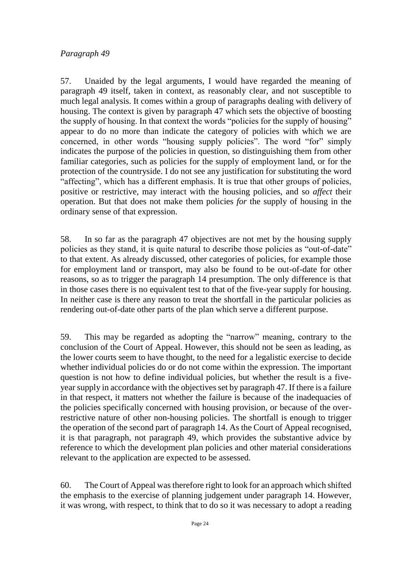#### *Paragraph 49*

57. Unaided by the legal arguments, I would have regarded the meaning of paragraph 49 itself, taken in context, as reasonably clear, and not susceptible to much legal analysis. It comes within a group of paragraphs dealing with delivery of housing. The context is given by paragraph 47 which sets the objective of boosting the supply of housing. In that context the words "policies for the supply of housing" appear to do no more than indicate the category of policies with which we are concerned, in other words "housing supply policies". The word "for" simply indicates the purpose of the policies in question, so distinguishing them from other familiar categories, such as policies for the supply of employment land, or for the protection of the countryside. I do not see any justification for substituting the word "affecting", which has a different emphasis. It is true that other groups of policies, positive or restrictive, may interact with the housing policies, and so *affect* their operation. But that does not make them policies *for* the supply of housing in the ordinary sense of that expression.

58. In so far as the paragraph 47 objectives are not met by the housing supply policies as they stand, it is quite natural to describe those policies as "out-of-date" to that extent. As already discussed, other categories of policies, for example those for employment land or transport, may also be found to be out-of-date for other reasons, so as to trigger the paragraph 14 presumption. The only difference is that in those cases there is no equivalent test to that of the five-year supply for housing. In neither case is there any reason to treat the shortfall in the particular policies as rendering out-of-date other parts of the plan which serve a different purpose.

59. This may be regarded as adopting the "narrow" meaning, contrary to the conclusion of the Court of Appeal. However, this should not be seen as leading, as the lower courts seem to have thought, to the need for a legalistic exercise to decide whether individual policies do or do not come within the expression. The important question is not how to define individual policies, but whether the result is a fiveyear supply in accordance with the objectives set by paragraph 47. If there is a failure in that respect, it matters not whether the failure is because of the inadequacies of the policies specifically concerned with housing provision, or because of the overrestrictive nature of other non-housing policies. The shortfall is enough to trigger the operation of the second part of paragraph 14. As the Court of Appeal recognised, it is that paragraph, not paragraph 49, which provides the substantive advice by reference to which the development plan policies and other material considerations relevant to the application are expected to be assessed.

60. The Court of Appeal wastherefore right to look for an approach which shifted the emphasis to the exercise of planning judgement under paragraph 14. However, it was wrong, with respect, to think that to do so it was necessary to adopt a reading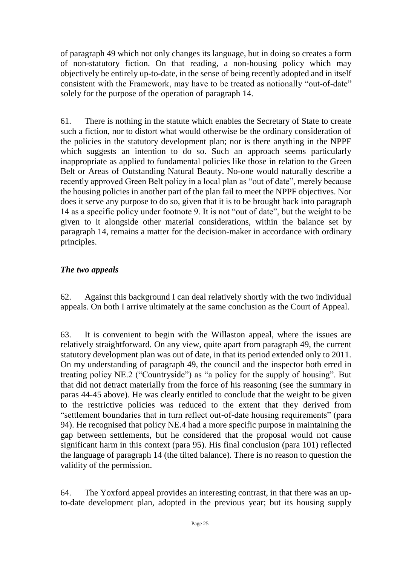of paragraph 49 which not only changes its language, but in doing so creates a form of non-statutory fiction. On that reading, a non-housing policy which may objectively be entirely up-to-date, in the sense of being recently adopted and in itself consistent with the Framework, may have to be treated as notionally "out-of-date" solely for the purpose of the operation of paragraph 14.

61. There is nothing in the statute which enables the Secretary of State to create such a fiction, nor to distort what would otherwise be the ordinary consideration of the policies in the statutory development plan; nor is there anything in the NPPF which suggests an intention to do so. Such an approach seems particularly inappropriate as applied to fundamental policies like those in relation to the Green Belt or Areas of Outstanding Natural Beauty. No-one would naturally describe a recently approved Green Belt policy in a local plan as "out of date", merely because the housing policies in another part of the plan fail to meet the NPPF objectives. Nor does it serve any purpose to do so, given that it is to be brought back into paragraph 14 as a specific policy under footnote 9. It is not "out of date", but the weight to be given to it alongside other material considerations, within the balance set by paragraph 14, remains a matter for the decision-maker in accordance with ordinary principles.

#### *The two appeals*

62. Against this background I can deal relatively shortly with the two individual appeals. On both I arrive ultimately at the same conclusion as the Court of Appeal.

63. It is convenient to begin with the Willaston appeal, where the issues are relatively straightforward. On any view, quite apart from paragraph 49, the current statutory development plan was out of date, in that its period extended only to 2011. On my understanding of paragraph 49, the council and the inspector both erred in treating policy NE.2 ("Countryside") as "a policy for the supply of housing". But that did not detract materially from the force of his reasoning (see the summary in paras 44-45 above). He was clearly entitled to conclude that the weight to be given to the restrictive policies was reduced to the extent that they derived from "settlement boundaries that in turn reflect out-of-date housing requirements" (para 94). He recognised that policy NE.4 had a more specific purpose in maintaining the gap between settlements, but he considered that the proposal would not cause significant harm in this context (para 95). His final conclusion (para 101) reflected the language of paragraph 14 (the tilted balance). There is no reason to question the validity of the permission.

64. The Yoxford appeal provides an interesting contrast, in that there was an upto-date development plan, adopted in the previous year; but its housing supply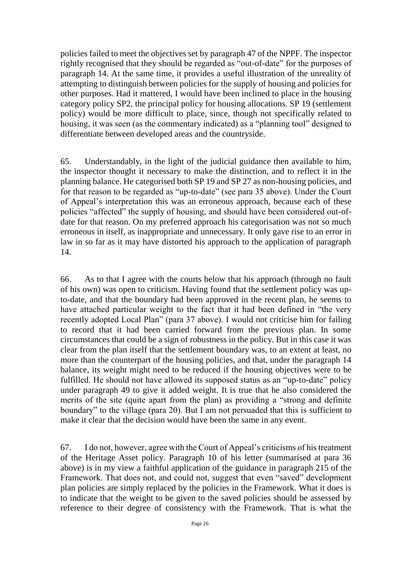policies failed to meet the objectives set by paragraph 47 of the NPPF. The inspector rightly recognised that they should be regarded as "out-of-date" for the purposes of paragraph 14. At the same time, it provides a useful illustration of the unreality of attempting to distinguish between policies for the supply of housing and policies for other purposes. Had it mattered, I would have been inclined to place in the housing category policy SP2, the principal policy for housing allocations. SP 19 (settlement policy) would be more difficult to place, since, though not specifically related to housing, it was seen (as the commentary indicated) as a "planning tool" designed to differentiate between developed areas and the countryside.

65. Understandably, in the light of the judicial guidance then available to him, the inspector thought it necessary to make the distinction, and to reflect it in the planning balance. He categorised both SP 19 and SP 27 as non-housing policies, and for that reason to be regarded as "up-to-date" (see para 35 above). Under the Court of Appeal's interpretation this was an erroneous approach, because each of these policies "affected" the supply of housing, and should have been considered out-ofdate for that reason. On my preferred approach his categorisation was not so much erroneous in itself, as inappropriate and unnecessary. It only gave rise to an error in law in so far as it may have distorted his approach to the application of paragraph 14.

66. As to that I agree with the courts below that his approach (through no fault of his own) was open to criticism. Having found that the settlement policy was upto-date, and that the boundary had been approved in the recent plan, he seems to have attached particular weight to the fact that it had been defined in "the very recently adopted Local Plan" (para 37 above). I would not criticise him for failing to record that it had been carried forward from the previous plan. In some circumstances that could be a sign of robustness in the policy. But in this case it was clear from the plan itself that the settlement boundary was, to an extent at least, no more than the counterpart of the housing policies, and that, under the paragraph 14 balance, its weight might need to be reduced if the housing objectives were to be fulfilled. He should not have allowed its supposed status as an "up-to-date" policy under paragraph 49 to give it added weight. It is true that he also considered the merits of the site (quite apart from the plan) as providing a "strong and definite boundary" to the village (para 20). But I am not persuaded that this is sufficient to make it clear that the decision would have been the same in any event.

67. I do not, however, agree with the Court of Appeal's criticisms of his treatment of the Heritage Asset policy. Paragraph 10 of his letter (summarised at para 36 above) is in my view a faithful application of the guidance in paragraph 215 of the Framework. That does not, and could not, suggest that even "saved" development plan policies are simply replaced by the policies in the Framework. What it does is to indicate that the weight to be given to the saved policies should be assessed by reference to their degree of consistency with the Framework. That is what the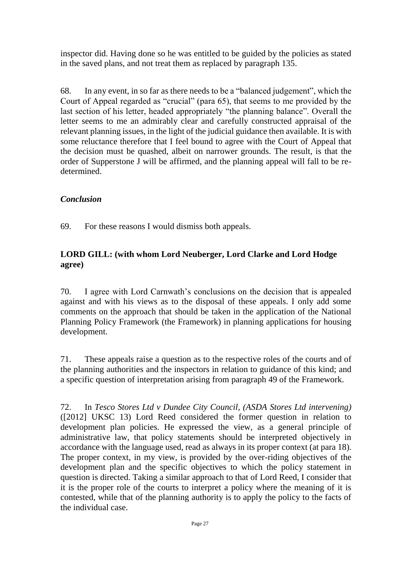inspector did. Having done so he was entitled to be guided by the policies as stated in the saved plans, and not treat them as replaced by paragraph 135.

68. In any event, in so far as there needs to be a "balanced judgement", which the Court of Appeal regarded as "crucial" (para 65), that seems to me provided by the last section of his letter, headed appropriately "the planning balance". Overall the letter seems to me an admirably clear and carefully constructed appraisal of the relevant planning issues, in the light of the judicial guidance then available. It is with some reluctance therefore that I feel bound to agree with the Court of Appeal that the decision must be quashed, albeit on narrower grounds. The result, is that the order of Supperstone J will be affirmed, and the planning appeal will fall to be redetermined.

#### *Conclusion*

69. For these reasons I would dismiss both appeals.

### **LORD GILL: (with whom Lord Neuberger, Lord Clarke and Lord Hodge agree)**

70. I agree with Lord Carnwath's conclusions on the decision that is appealed against and with his views as to the disposal of these appeals. I only add some comments on the approach that should be taken in the application of the National Planning Policy Framework (the Framework) in planning applications for housing development.

71. These appeals raise a question as to the respective roles of the courts and of the planning authorities and the inspectors in relation to guidance of this kind; and a specific question of interpretation arising from paragraph 49 of the Framework.

72. In *Tesco Stores Ltd v Dundee City Council, (ASDA Stores Ltd intervening)* ([2012] UKSC 13) Lord Reed considered the former question in relation to development plan policies. He expressed the view, as a general principle of administrative law, that policy statements should be interpreted objectively in accordance with the language used, read as always in its proper context (at para 18). The proper context, in my view, is provided by the over-riding objectives of the development plan and the specific objectives to which the policy statement in question is directed. Taking a similar approach to that of Lord Reed, I consider that it is the proper role of the courts to interpret a policy where the meaning of it is contested, while that of the planning authority is to apply the policy to the facts of the individual case.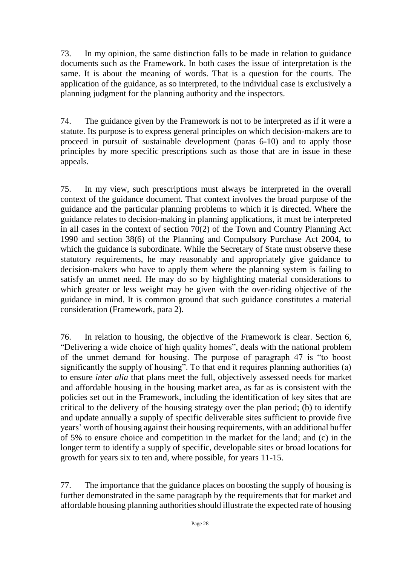73. In my opinion, the same distinction falls to be made in relation to guidance documents such as the Framework. In both cases the issue of interpretation is the same. It is about the meaning of words. That is a question for the courts. The application of the guidance, as so interpreted, to the individual case is exclusively a planning judgment for the planning authority and the inspectors.

74. The guidance given by the Framework is not to be interpreted as if it were a statute. Its purpose is to express general principles on which decision-makers are to proceed in pursuit of sustainable development (paras 6-10) and to apply those principles by more specific prescriptions such as those that are in issue in these appeals.

75. In my view, such prescriptions must always be interpreted in the overall context of the guidance document. That context involves the broad purpose of the guidance and the particular planning problems to which it is directed. Where the guidance relates to decision-making in planning applications, it must be interpreted in all cases in the context of section 70(2) of the Town and Country Planning Act 1990 and section 38(6) of the Planning and Compulsory Purchase Act 2004, to which the guidance is subordinate. While the Secretary of State must observe these statutory requirements, he may reasonably and appropriately give guidance to decision-makers who have to apply them where the planning system is failing to satisfy an unmet need. He may do so by highlighting material considerations to which greater or less weight may be given with the over-riding objective of the guidance in mind. It is common ground that such guidance constitutes a material consideration (Framework, para 2).

76. In relation to housing, the objective of the Framework is clear. Section 6, "Delivering a wide choice of high quality homes", deals with the national problem of the unmet demand for housing. The purpose of paragraph 47 is "to boost significantly the supply of housing". To that end it requires planning authorities (a) to ensure *inter alia* that plans meet the full, objectively assessed needs for market and affordable housing in the housing market area, as far as is consistent with the policies set out in the Framework, including the identification of key sites that are critical to the delivery of the housing strategy over the plan period; (b) to identify and update annually a supply of specific deliverable sites sufficient to provide five years' worth of housing against their housing requirements, with an additional buffer of 5% to ensure choice and competition in the market for the land; and (c) in the longer term to identify a supply of specific, developable sites or broad locations for growth for years six to ten and, where possible, for years 11-15.

77. The importance that the guidance places on boosting the supply of housing is further demonstrated in the same paragraph by the requirements that for market and affordable housing planning authorities should illustrate the expected rate of housing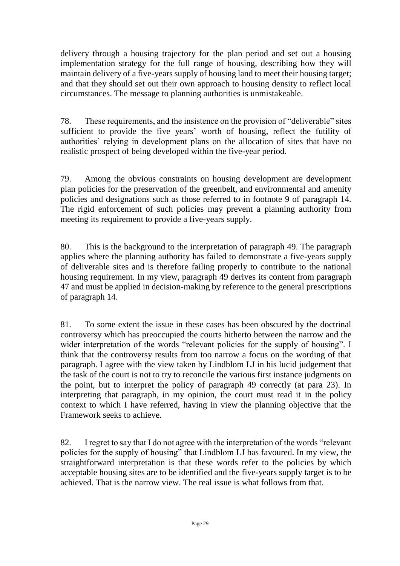delivery through a housing trajectory for the plan period and set out a housing implementation strategy for the full range of housing, describing how they will maintain delivery of a five-years supply of housing land to meet their housing target; and that they should set out their own approach to housing density to reflect local circumstances. The message to planning authorities is unmistakeable.

78. These requirements, and the insistence on the provision of "deliverable" sites sufficient to provide the five years' worth of housing, reflect the futility of authorities' relying in development plans on the allocation of sites that have no realistic prospect of being developed within the five-year period.

79. Among the obvious constraints on housing development are development plan policies for the preservation of the greenbelt, and environmental and amenity policies and designations such as those referred to in footnote 9 of paragraph 14. The rigid enforcement of such policies may prevent a planning authority from meeting its requirement to provide a five-years supply.

80. This is the background to the interpretation of paragraph 49. The paragraph applies where the planning authority has failed to demonstrate a five-years supply of deliverable sites and is therefore failing properly to contribute to the national housing requirement. In my view, paragraph 49 derives its content from paragraph 47 and must be applied in decision-making by reference to the general prescriptions of paragraph 14.

81. To some extent the issue in these cases has been obscured by the doctrinal controversy which has preoccupied the courts hitherto between the narrow and the wider interpretation of the words "relevant policies for the supply of housing". I think that the controversy results from too narrow a focus on the wording of that paragraph. I agree with the view taken by Lindblom LJ in his lucid judgement that the task of the court is not to try to reconcile the various first instance judgments on the point, but to interpret the policy of paragraph 49 correctly (at para 23). In interpreting that paragraph, in my opinion, the court must read it in the policy context to which I have referred, having in view the planning objective that the Framework seeks to achieve.

82. I regret to say that I do not agree with the interpretation of the words "relevant policies for the supply of housing" that Lindblom LJ has favoured. In my view, the straightforward interpretation is that these words refer to the policies by which acceptable housing sites are to be identified and the five-years supply target is to be achieved. That is the narrow view. The real issue is what follows from that.